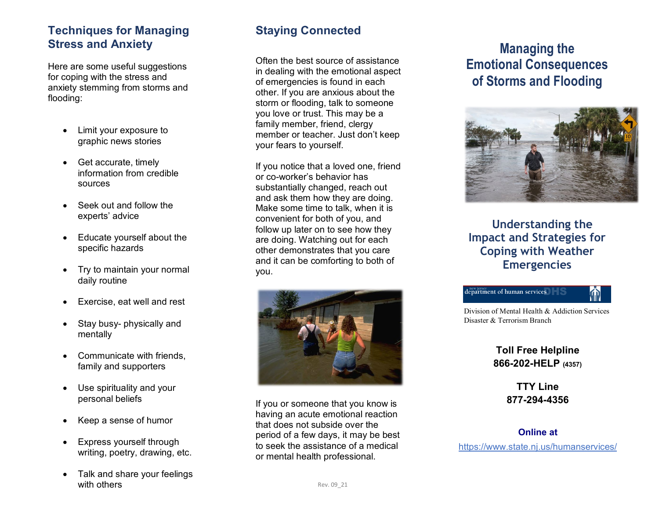#### **Techniques for Managing Stress and Anxiety**

Here are some useful suggestions for coping with the stress and anxiety stemming from storms and flooding:

- Limit your exposure to graphic news stories
- Get accurate, timely information from credible sources
- Seek out and follow the experts' advice
- Educate yourself about the specific hazards
- Try to maintain your normal daily routine
- Exercise, eat well and rest
- Stay busy- physically and mentally
- Communicate with friends, family and supporters
- Use spirituality and your personal beliefs
- Keep a sense of humor
- Express yourself through writing, poetry, drawing, etc.
- Talk and share your feelings with others

# **Staying Connected**

Often the best source of assistance in dealing with the emotional aspect of emergencies is found in each other. If you are anxious about the storm or flooding, talk to someone you love or trust. This may be a family member, friend, clergy member or teacher. Just don't keep your fears to yourself.

If you notice that a loved one, friend or co -worker's behavior has substantially changed, reach out and ask them how they are doing. Make some time to talk, when it is convenient for both of you, and follow up later on to see how they are doing. Watching out for each other demonstrates that you care and it can be comforting to both of you.



If you or someone that you know is having an acute emotional reaction that does not subside over the period of a few days, it may be best to seek the assistance of a medical or mental health professional.

# **Managing the Emotional Consequences of Storms and Flooding**



### **Understanding the Impact and Strategies for Coping with Weather Emergencies**



Division of Mental Health & Addiction Services Disaster & Terrorism Branch

> **Toll Free Helpline 866 -202 -HELP (4357)**

**TTY Line 877 -294 -4356** 

**Online at**

https://www.state.nj.us/humanservices/